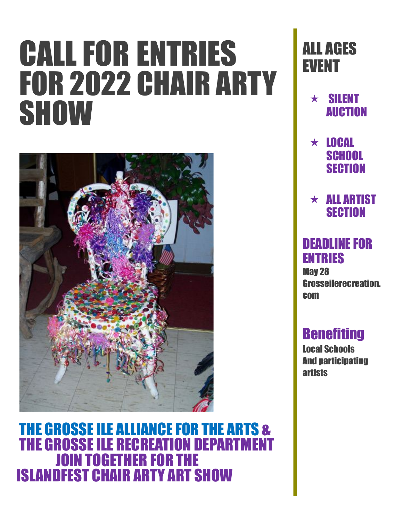# CALL FOR ENTRIES FOR 2022 CHAIR ARTY **SHOW**



THE GROSSE ILE ALLIANCE FOR THE ARTS & THE GROSSE ILE RECREATION DEPARTMENT JOIN TOGETHER FOR THE ISLANDFEST CHAIR ARTY ART SHOW

# ALL AGES EVENT

- $\star$  SILENT AUCTION
- $\star$  LOCAL **SCHOOL SECTION**

 $\star$  ALL ARTIST **SECTION** 

## DEADLINE FOR ENTRIES

May 28 Grosseilerecreation. com

## **Benefiting**

Local Schools And participating **artists**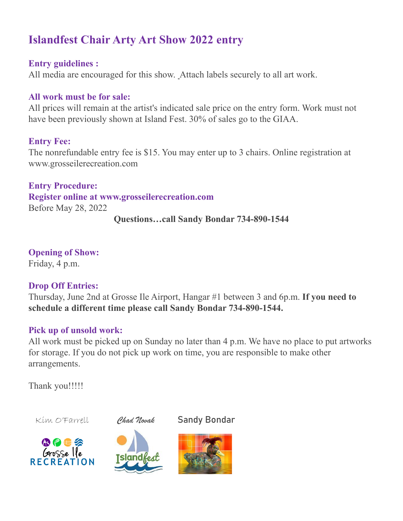### **Islandfest Chair Arty Art Show 2022 entry**

#### **Entry guidelines :**

All media are encouraged for this show. Attach labels securely to all art work.

#### **All work must be for sale:**

All prices will remain at the artist's indicated sale price on the entry form. Work must not have been previously shown at Island Fest. 30% of sales go to the GIAA.

#### **Entry Fee:**

The nonrefundable entry fee is \$15. You may enter up to 3 chairs. Online registration at www.grosseilerecreation.com

**Entry Procedure: Register online at www.grosseilerecreation.com** Before May 28, 2022

**Questions…call Sandy Bondar 734-890-1544**

**Opening of Show:** Friday, 4 p.m.

#### **Drop Off Entries:**

Thursday, June 2nd at Grosse Ile Airport, Hangar #1 between 3 and 6p.m. **If you need to schedule a different time please call Sandy Bondar 734-890-1544.**

#### **Pick up of unsold work:**

All work must be picked up on Sunday no later than 4 p.m. We have no place to put artworks for storage. If you do not pick up work on time, you are responsible to make other arrangements.

Thank you!!!!!

Kim O'Farrell *Chad Novak* Sandy Bondar